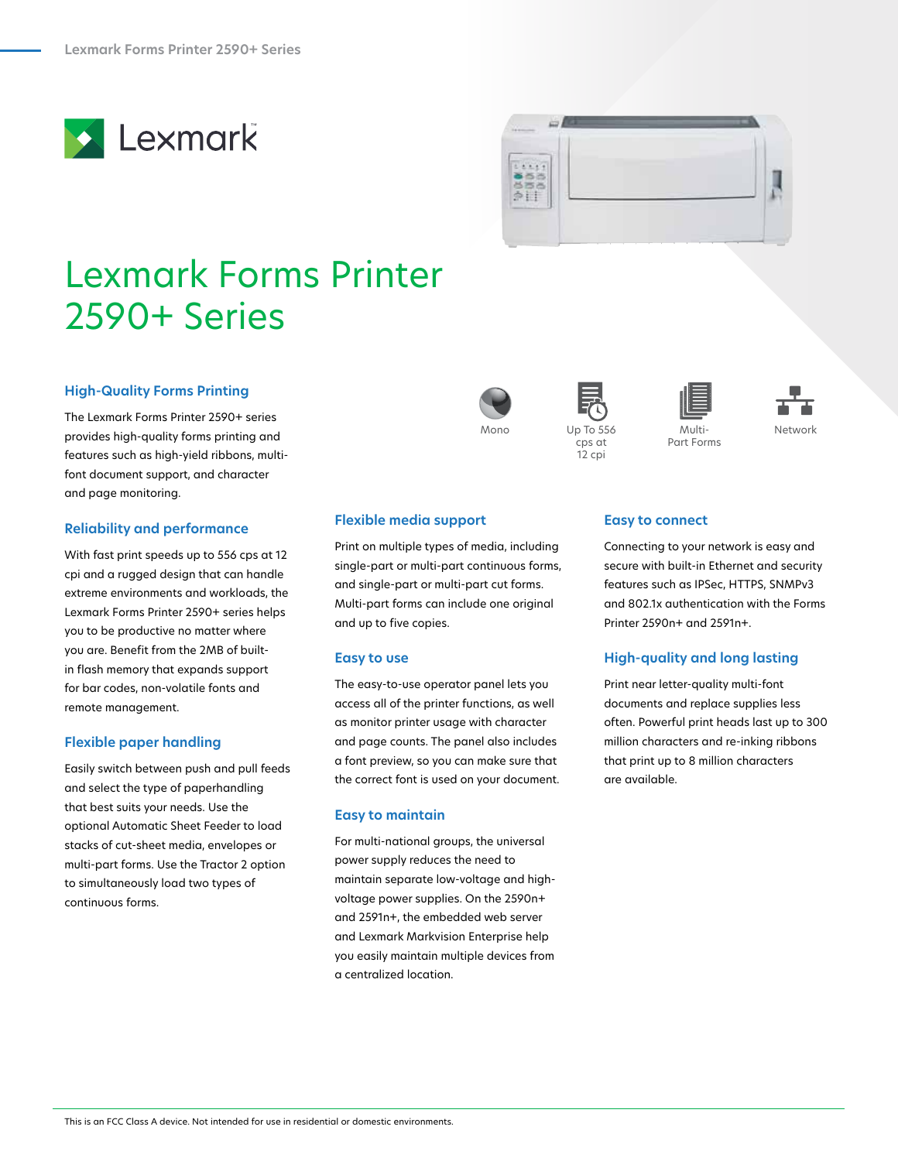



# Lexmark Forms Printer 2590+ Series

## **High-Quality Forms Printing**

The Lexmark Forms Printer 2590+ series provides high-quality forms printing and features such as high-yield ribbons, multifont document support, and character and page monitoring.

#### **Reliability and performance**

With fast print speeds up to 556 cps at 12 cpi and a rugged design that can handle extreme environments and workloads, the Lexmark Forms Printer 2590+ series helps you to be productive no matter where you are. Benefit from the 2MB of builtin flash memory that expands support for bar codes, non-volatile fonts and remote management.

## **Flexible paper handling**

Easily switch between push and pull feeds and select the type of paperhandling that best suits your needs. Use the optional Automatic Sheet Feeder to load stacks of cut-sheet media, envelopes or multi-part forms. Use the Tractor 2 option to simultaneously load two types of continuous forms.



Mono

#### **Flexible media support**

Print on multiple types of media, including single-part or multi-part continuous forms, and single-part or multi-part cut forms. Multi-part forms can include one original and up to five copies.

#### **Easy to use**

The easy-to-use operator panel lets you access all of the printer functions, as well as monitor printer usage with character and page counts. The panel also includes a font preview, so you can make sure that the correct font is used on your document.

### **Easy to maintain**

For multi-national groups, the universal power supply reduces the need to maintain separate low-voltage and highvoltage power supplies. On the 2590n+ and 2591n+, the embedded web server and Lexmark Markvision Enterprise help you easily maintain multiple devices from a centralized location.









## **Easy to connect**

Connecting to your network is easy and secure with built-in Ethernet and security features such as IPSec, HTTPS, SNMPv3 and 802.1x authentication with the Forms Printer 2590n+ and 2591n+.

## **High-quality and long lasting**

Print near letter-quality multi-font documents and replace supplies less often. Powerful print heads last up to 300 million characters and re-inking ribbons that print up to 8 million characters are available.